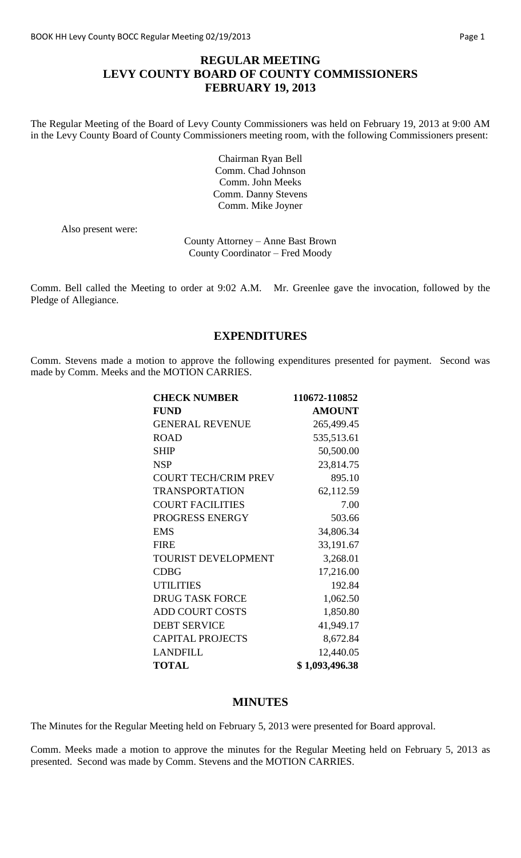## **REGULAR MEETING LEVY COUNTY BOARD OF COUNTY COMMISSIONERS FEBRUARY 19, 2013**

The Regular Meeting of the Board of Levy County Commissioners was held on February 19, 2013 at 9:00 AM in the Levy County Board of County Commissioners meeting room, with the following Commissioners present:

> Chairman Ryan Bell Comm. Chad Johnson Comm. John Meeks Comm. Danny Stevens Comm. Mike Joyner

Also present were:

County Attorney – Anne Bast Brown County Coordinator – Fred Moody

Comm. Bell called the Meeting to order at 9:02 A.M. Mr. Greenlee gave the invocation, followed by the Pledge of Allegiance.

### **EXPENDITURES**

Comm. Stevens made a motion to approve the following expenditures presented for payment. Second was made by Comm. Meeks and the MOTION CARRIES.

| <b>CHECK NUMBER</b>         | 110672-110852  |
|-----------------------------|----------------|
| <b>FUND</b>                 | <b>AMOUNT</b>  |
| <b>GENERAL REVENUE</b>      | 265,499.45     |
| <b>ROAD</b>                 | 535,513.61     |
| <b>SHIP</b>                 | 50,500.00      |
| <b>NSP</b>                  | 23,814.75      |
| <b>COURT TECH/CRIM PREV</b> | 895.10         |
| <b>TRANSPORTATION</b>       | 62,112.59      |
| <b>COURT FACILITIES</b>     | 7.00           |
| PROGRESS ENERGY             | 503.66         |
| <b>EMS</b>                  | 34,806.34      |
| <b>FIRE</b>                 | 33,191.67      |
| <b>TOURIST DEVELOPMENT</b>  | 3,268.01       |
| <b>CDBG</b>                 | 17,216.00      |
| <b>UTILITIES</b>            | 192.84         |
| <b>DRUG TASK FORCE</b>      | 1,062.50       |
| <b>ADD COURT COSTS</b>      | 1,850.80       |
| <b>DEBT SERVICE</b>         | 41,949.17      |
| <b>CAPITAL PROJECTS</b>     | 8,672.84       |
| <b>LANDFILL</b>             | 12,440.05      |
| <b>TOTAL</b>                | \$1,093,496.38 |

#### **MINUTES**

The Minutes for the Regular Meeting held on February 5, 2013 were presented for Board approval.

Comm. Meeks made a motion to approve the minutes for the Regular Meeting held on February 5, 2013 as presented. Second was made by Comm. Stevens and the MOTION CARRIES.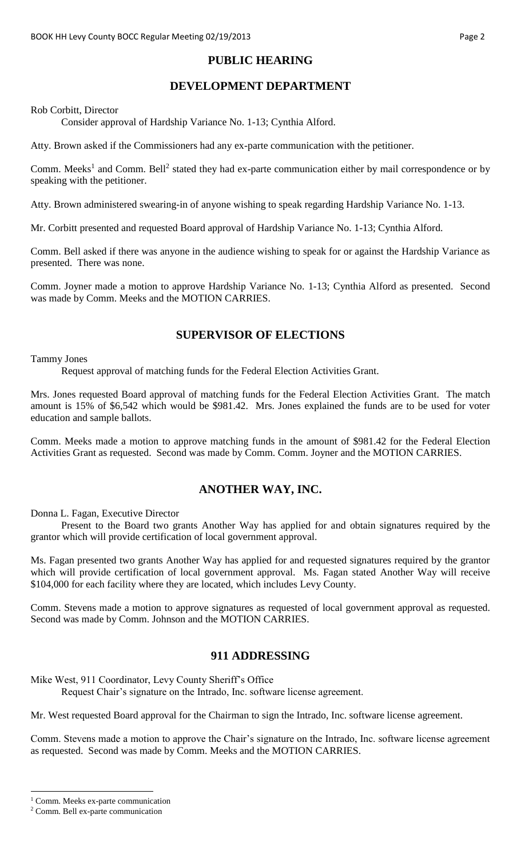## **PUBLIC HEARING**

# **DEVELOPMENT DEPARTMENT**

#### Rob Corbitt, Director

Consider approval of Hardship Variance No. 1-13; Cynthia Alford.

Atty. Brown asked if the Commissioners had any ex-parte communication with the petitioner.

Comm. Meeks<sup>1</sup> and Comm. Bell<sup>2</sup> stated they had ex-parte communication either by mail correspondence or by speaking with the petitioner.

Atty. Brown administered swearing-in of anyone wishing to speak regarding Hardship Variance No. 1-13.

Mr. Corbitt presented and requested Board approval of Hardship Variance No. 1-13; Cynthia Alford.

Comm. Bell asked if there was anyone in the audience wishing to speak for or against the Hardship Variance as presented. There was none.

Comm. Joyner made a motion to approve Hardship Variance No. 1-13; Cynthia Alford as presented. Second was made by Comm. Meeks and the MOTION CARRIES.

### **SUPERVISOR OF ELECTIONS**

#### Tammy Jones

Request approval of matching funds for the Federal Election Activities Grant.

Mrs. Jones requested Board approval of matching funds for the Federal Election Activities Grant. The match amount is 15% of \$6,542 which would be \$981.42. Mrs. Jones explained the funds are to be used for voter education and sample ballots.

Comm. Meeks made a motion to approve matching funds in the amount of \$981.42 for the Federal Election Activities Grant as requested. Second was made by Comm. Comm. Joyner and the MOTION CARRIES.

## **ANOTHER WAY, INC.**

Donna L. Fagan, Executive Director

Present to the Board two grants Another Way has applied for and obtain signatures required by the grantor which will provide certification of local government approval.

Ms. Fagan presented two grants Another Way has applied for and requested signatures required by the grantor which will provide certification of local government approval. Ms. Fagan stated Another Way will receive \$104,000 for each facility where they are located, which includes Levy County.

Comm. Stevens made a motion to approve signatures as requested of local government approval as requested. Second was made by Comm. Johnson and the MOTION CARRIES.

### **911 ADDRESSING**

Mike West, 911 Coordinator, Levy County Sheriff's Office Request Chair's signature on the Intrado, Inc. software license agreement.

Mr. West requested Board approval for the Chairman to sign the Intrado, Inc. software license agreement.

Comm. Stevens made a motion to approve the Chair's signature on the Intrado, Inc. software license agreement as requested. Second was made by Comm. Meeks and the MOTION CARRIES.

 $\overline{a}$ 

<sup>&</sup>lt;sup>1</sup> Comm. Meeks ex-parte communication

<sup>2</sup> Comm. Bell ex-parte communication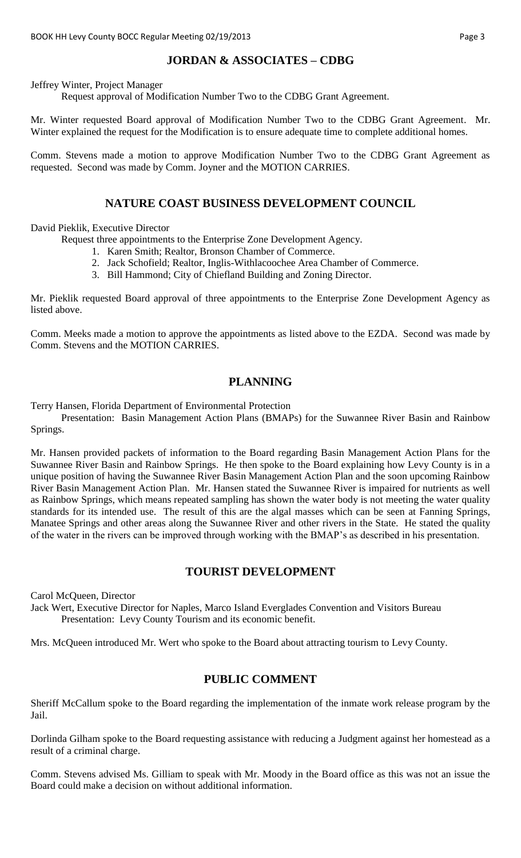# **JORDAN & ASSOCIATES – CDBG**

Jeffrey Winter, Project Manager

Request approval of Modification Number Two to the CDBG Grant Agreement.

Mr. Winter requested Board approval of Modification Number Two to the CDBG Grant Agreement. Mr. Winter explained the request for the Modification is to ensure adequate time to complete additional homes.

Comm. Stevens made a motion to approve Modification Number Two to the CDBG Grant Agreement as requested. Second was made by Comm. Joyner and the MOTION CARRIES.

### **NATURE COAST BUSINESS DEVELOPMENT COUNCIL**

David Pieklik, Executive Director

Request three appointments to the Enterprise Zone Development Agency.

- 1. Karen Smith; Realtor, Bronson Chamber of Commerce.
- 2. Jack Schofield; Realtor, Inglis-Withlacoochee Area Chamber of Commerce.
- 3. Bill Hammond; City of Chiefland Building and Zoning Director.

Mr. Pieklik requested Board approval of three appointments to the Enterprise Zone Development Agency as listed above.

Comm. Meeks made a motion to approve the appointments as listed above to the EZDA. Second was made by Comm. Stevens and the MOTION CARRIES.

### **PLANNING**

Terry Hansen, Florida Department of Environmental Protection

Presentation: Basin Management Action Plans (BMAPs) for the Suwannee River Basin and Rainbow Springs.

Mr. Hansen provided packets of information to the Board regarding Basin Management Action Plans for the Suwannee River Basin and Rainbow Springs. He then spoke to the Board explaining how Levy County is in a unique position of having the Suwannee River Basin Management Action Plan and the soon upcoming Rainbow River Basin Management Action Plan. Mr. Hansen stated the Suwannee River is impaired for nutrients as well as Rainbow Springs, which means repeated sampling has shown the water body is not meeting the water quality standards for its intended use. The result of this are the algal masses which can be seen at Fanning Springs, Manatee Springs and other areas along the Suwannee River and other rivers in the State. He stated the quality of the water in the rivers can be improved through working with the BMAP's as described in his presentation.

### **TOURIST DEVELOPMENT**

Carol McQueen, Director

Jack Wert, Executive Director for Naples, Marco Island Everglades Convention and Visitors Bureau Presentation: Levy County Tourism and its economic benefit.

Mrs. McQueen introduced Mr. Wert who spoke to the Board about attracting tourism to Levy County.

### **PUBLIC COMMENT**

Sheriff McCallum spoke to the Board regarding the implementation of the inmate work release program by the Jail.

Dorlinda Gilham spoke to the Board requesting assistance with reducing a Judgment against her homestead as a result of a criminal charge.

Comm. Stevens advised Ms. Gilliam to speak with Mr. Moody in the Board office as this was not an issue the Board could make a decision on without additional information.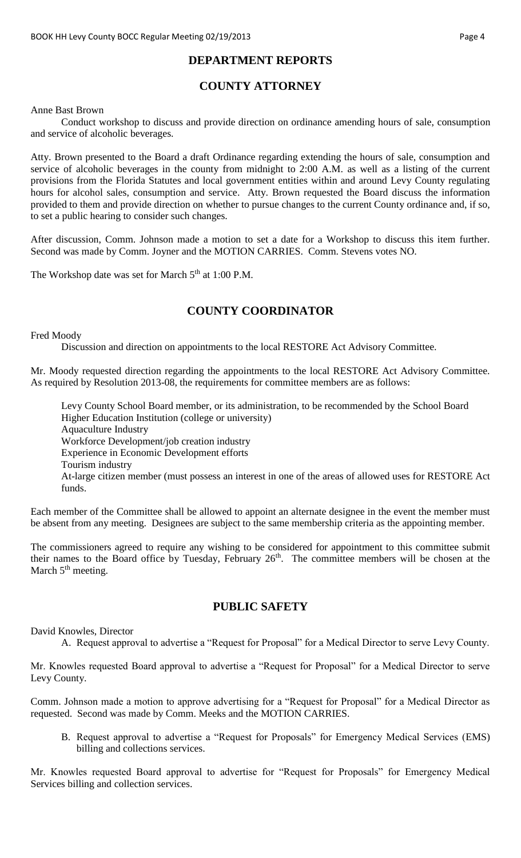## **DEPARTMENT REPORTS**

# **COUNTY ATTORNEY**

#### Anne Bast Brown

Conduct workshop to discuss and provide direction on ordinance amending hours of sale, consumption and service of alcoholic beverages.

Atty. Brown presented to the Board a draft Ordinance regarding extending the hours of sale, consumption and service of alcoholic beverages in the county from midnight to 2:00 A.M. as well as a listing of the current provisions from the Florida Statutes and local government entities within and around Levy County regulating hours for alcohol sales, consumption and service. Atty. Brown requested the Board discuss the information provided to them and provide direction on whether to pursue changes to the current County ordinance and, if so, to set a public hearing to consider such changes.

After discussion, Comm. Johnson made a motion to set a date for a Workshop to discuss this item further. Second was made by Comm. Joyner and the MOTION CARRIES. Comm. Stevens votes NO.

The Workshop date was set for March 5<sup>th</sup> at 1:00 P.M.

## **COUNTY COORDINATOR**

Fred Moody

Discussion and direction on appointments to the local RESTORE Act Advisory Committee.

Mr. Moody requested direction regarding the appointments to the local RESTORE Act Advisory Committee. As required by Resolution 2013-08, the requirements for committee members are as follows:

Levy County School Board member, or its administration, to be recommended by the School Board Higher Education Institution (college or university) Aquaculture Industry Workforce Development/job creation industry Experience in Economic Development efforts Tourism industry At-large citizen member (must possess an interest in one of the areas of allowed uses for RESTORE Act funds.

Each member of the Committee shall be allowed to appoint an alternate designee in the event the member must be absent from any meeting. Designees are subject to the same membership criteria as the appointing member.

The commissioners agreed to require any wishing to be considered for appointment to this committee submit their names to the Board office by Tuesday, February 26<sup>th</sup>. The committee members will be chosen at the March  $5<sup>th</sup>$  meeting.

## **PUBLIC SAFETY**

David Knowles, Director

A. Request approval to advertise a "Request for Proposal" for a Medical Director to serve Levy County.

Mr. Knowles requested Board approval to advertise a "Request for Proposal" for a Medical Director to serve Levy County.

Comm. Johnson made a motion to approve advertising for a "Request for Proposal" for a Medical Director as requested. Second was made by Comm. Meeks and the MOTION CARRIES.

B. Request approval to advertise a "Request for Proposals" for Emergency Medical Services (EMS) billing and collections services.

Mr. Knowles requested Board approval to advertise for "Request for Proposals" for Emergency Medical Services billing and collection services.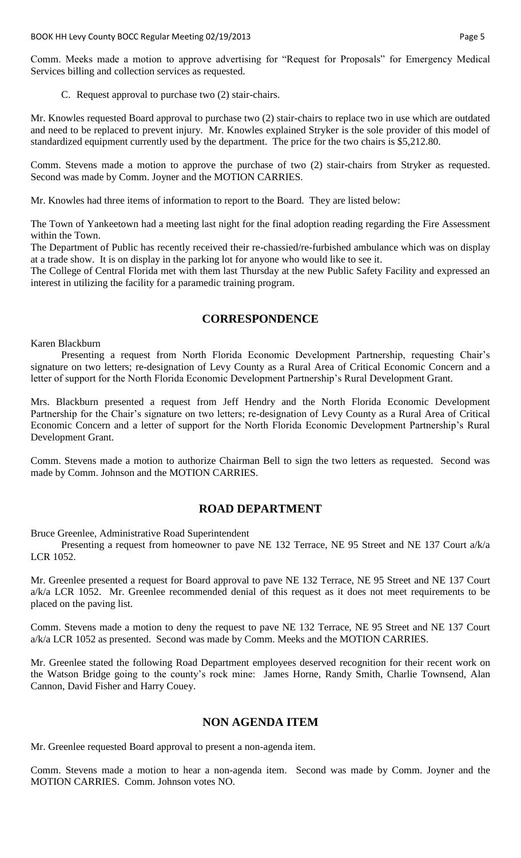Comm. Meeks made a motion to approve advertising for "Request for Proposals" for Emergency Medical Services billing and collection services as requested.

C. Request approval to purchase two (2) stair-chairs.

Mr. Knowles requested Board approval to purchase two (2) stair-chairs to replace two in use which are outdated and need to be replaced to prevent injury. Mr. Knowles explained Stryker is the sole provider of this model of standardized equipment currently used by the department. The price for the two chairs is \$5,212.80.

Comm. Stevens made a motion to approve the purchase of two (2) stair-chairs from Stryker as requested. Second was made by Comm. Joyner and the MOTION CARRIES.

Mr. Knowles had three items of information to report to the Board. They are listed below:

The Town of Yankeetown had a meeting last night for the final adoption reading regarding the Fire Assessment within the Town.

The Department of Public has recently received their re-chassied/re-furbished ambulance which was on display at a trade show. It is on display in the parking lot for anyone who would like to see it.

The College of Central Florida met with them last Thursday at the new Public Safety Facility and expressed an interest in utilizing the facility for a paramedic training program.

## **CORRESPONDENCE**

#### Karen Blackburn

Presenting a request from North Florida Economic Development Partnership, requesting Chair's signature on two letters; re-designation of Levy County as a Rural Area of Critical Economic Concern and a letter of support for the North Florida Economic Development Partnership's Rural Development Grant.

Mrs. Blackburn presented a request from Jeff Hendry and the North Florida Economic Development Partnership for the Chair's signature on two letters; re-designation of Levy County as a Rural Area of Critical Economic Concern and a letter of support for the North Florida Economic Development Partnership's Rural Development Grant.

Comm. Stevens made a motion to authorize Chairman Bell to sign the two letters as requested. Second was made by Comm. Johnson and the MOTION CARRIES.

## **ROAD DEPARTMENT**

Bruce Greenlee, Administrative Road Superintendent

Presenting a request from homeowner to pave NE 132 Terrace, NE 95 Street and NE 137 Court a/k/a LCR 1052.

Mr. Greenlee presented a request for Board approval to pave NE 132 Terrace, NE 95 Street and NE 137 Court a/k/a LCR 1052. Mr. Greenlee recommended denial of this request as it does not meet requirements to be placed on the paving list.

Comm. Stevens made a motion to deny the request to pave NE 132 Terrace, NE 95 Street and NE 137 Court a/k/a LCR 1052 as presented. Second was made by Comm. Meeks and the MOTION CARRIES.

Mr. Greenlee stated the following Road Department employees deserved recognition for their recent work on the Watson Bridge going to the county's rock mine: James Horne, Randy Smith, Charlie Townsend, Alan Cannon, David Fisher and Harry Couey.

### **NON AGENDA ITEM**

Mr. Greenlee requested Board approval to present a non-agenda item.

Comm. Stevens made a motion to hear a non-agenda item. Second was made by Comm. Joyner and the MOTION CARRIES. Comm. Johnson votes NO.